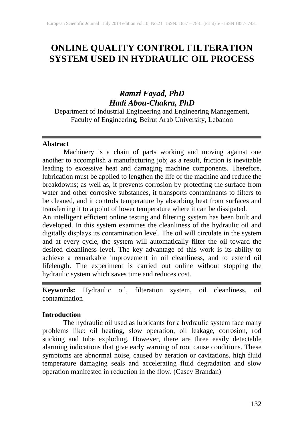# **ONLINE QUALITY CONTROL FILTERATION SYSTEM USED IN HYDRAULIC OIL PROCESS**

## *Ramzi Fayad, PhD Hadi Abou-Chakra, PhD*

Department of Industrial Engineering and Engineering Management, Faculty of Engineering, Beirut Arab University, Lebanon

#### **Abstract**

Machinery is a chain of parts working and moving against one another to accomplish a manufacturing job; as a result, friction is inevitable leading to excessive heat and damaging machine components. Therefore, lubrication must be applied to lengthen the life of the machine and reduce the breakdowns; as well as, it prevents corrosion by protecting the surface from water and other corrosive substances, it transports contaminants to filters to be cleaned, and it controls temperature by absorbing heat from surfaces and transferring it to a point of lower temperature where it can be dissipated.

An intelligent efficient online testing and filtering system has been built and developed. In this system examines the cleanliness of the hydraulic oil and digitally displays its contamination level. The oil will circulate in the system and at every cycle, the system will automatically filter the oil toward the desired cleanliness level. The key advantage of this work is its ability to achieve a remarkable improvement in oil cleanliness, and to extend oil lifelength. The experiment is carried out online without stopping the hydraulic system which saves time and reduces cost.

**Keywords:** Hydraulic oil, filteration system, oil cleanliness, oil contamination

#### **Introduction**

The hydraulic oil used as lubricants for a hydraulic system face many problems like: oil heating, slow operation, oil leakage, corrosion, rod sticking and tube exploding. However, there are three easily detectable alarming indications that give early warning of root cause conditions. These symptoms are abnormal noise, caused by aeration or cavitations, high fluid temperature damaging seals and accelerating fluid degradation and slow operation manifested in reduction in the flow. (Casey Brandan)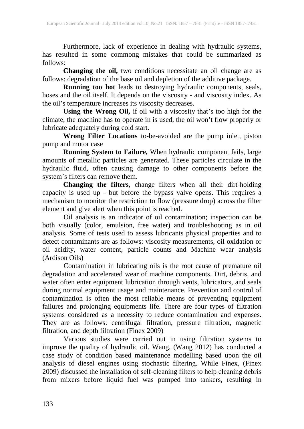Furthermore, lack of experience in dealing with hydraulic systems, has resulted in some commong mistakes that could be summarized as follows:

**Changing the oil,** two conditions necessitate an oil change are as follows: degradation of the base oil and depletion of the additive package.

**Running too hot** leads to destroying hydraulic components, seals, hoses and the oil itself. It depends on the viscosity - and viscosity index. As the oil's temperature increases its viscosity decreases.

**Using the Wrong Oil,** if oil with a viscosity that's too high for the climate, the machine has to operate in is used, the oil won't flow properly or lubricate adequately during cold start.

**Wrong Filter Locations** to-be-avoided are the pump inlet, piston pump and motor case

**Running System to Failure,** When hydraulic component fails, large amounts of metallic particles are generated. These particles circulate in the hydraulic fluid, often causing damage to other components before the system`s filters can remove them.

**Changing the filters,** change filters when all their dirt-holding capacity is used up - but before the bypass valve opens. This requires a mechanism to monitor the restriction to flow (pressure drop) across the filter element and give alert when this point is reached.

Oil analysis is an indicator of oil contamination; inspection can be both visually (color, emulsion, free water) and troubleshooting as in oil analysis. Some of tests used to assess lubricants physical properties and to detect contaminants are as follows: viscosity measurements, oil oxidation or oil acidity, water content, particle counts and Machine wear analysis (Ardison Oils)

Contamination in lubricating oils is the root cause of premature oil degradation and accelerated wear of machine components. Dirt, debris, and water often enter equipment lubrication through vents, lubricators, and seals during normal equipment usage and maintenance. Prevention and control of contamination is often the most reliable means of preventing equipment failures and prolonging equipments life. There are four types of filtration systems considered as a necessity to reduce contamination and expenses. They are as follows: centrifugal filtration, pressure filtration, magnetic filtration, and depth filtration (Finex 2009)

Various studies were carried out in using filtration systems to improve the quality of hydraulic oil. Wang, (Wang 2012) has conducted a case study of condition based maintenance modelling based upon the oil analysis of diesel engines using stochastic filtering. While Finex, (Finex 2009) discussed the installation of self-cleaning filters to help cleaning debris from mixers before liquid fuel was pumped into tankers, resulting in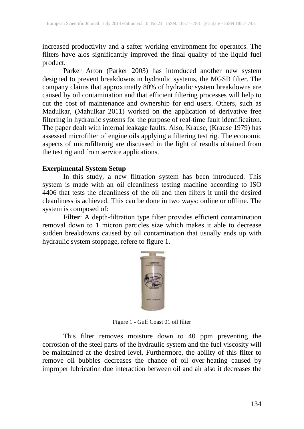increased productivity and a safter working environment for operators. The filters have alos significantly improved the final quality of the liquid fuel product.

Parker Arton (Parker 2003) has introduced another new system designed to prevent breakdowns in hydraulic systems, the MGSB filter. The company claims that approximatly 80% of hydraulic system breakdowns are caused by oil contamination and that efficient filtering processes will help to cut the cost of maintenance and ownership for end users. Others, such as Madulkar, (Mahulkar 2011) worked on the application of derivative free filtering in hydraulic systems for the purpose of real-time fault identificaiton. The paper dealt with internal leakage faults. Also, Krause, (Krause 1979) has assessed microfilter of engine oils applying a filtering test rig. The economic aspects of microfilternig are discussed in the light of results obtained from the test rig and from service applications.

#### **Exerpimental System Setup**

In this study, a new filtration system has been introduced. This system is made with an oil cleanliness testing machine according to ISO 4406 that tests the cleanliness of the oil and then filters it until the desired cleanliness is achieved. This can be done in two ways: online or offline. The system is composed of:

**Filter**: A depth-filtration type filter provides efficient contamination removal down to 1 micron particles size which makes it able to decrease sudden breakdowns caused by oil contamination that usually ends up with hydraulic system stoppage, refere to figure 1.



Figure 1 - Gulf Coast 01 oil filter

This filter removes moisture down to 40 ppm preventing the corrosion of the steel parts of the hydraulic system and the fuel viscosity will be maintained at the desired level. Furthermore, the ability of this filter to remove oil bubbles decreases the chance of oil over-heating caused by improper lubrication due interaction between oil and air also it decreases the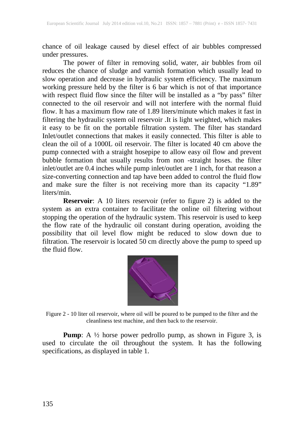chance of oil leakage caused by diesel effect of air bubbles compressed under pressures.

The power of filter in removing solid, water, air bubbles from oil reduces the chance of sludge and varnish formation which usually lead to slow operation and decrease in hydraulic system efficiency. The maximum working pressure held by the filter is 6 bar which is not of that importance with respect fluid flow since the filter will be installed as a "by pass" filter connected to the oil reservoir and will not interfere with the normal fluid flow. It has a maximum flow rate of 1.89 liters/minute which makes it fast in filtering the hydraulic system oil reservoir .It is light weighted, which makes it easy to be fit on the portable filtration system. The filter has standard Inlet/outlet connections that makes it easily connected. This filter is able to clean the oil of a 1000L oil reservoir. The filter is located 40 cm above the pump connected with a straight hosepipe to allow easy oil flow and prevent bubble formation that usually results from non -straight hoses. the filter inlet/outlet are 0.4 inches while pump inlet/outlet are 1 inch, for that reason a size-converting connection and tap have been added to control the fluid flow and make sure the filter is not receiving more than its capacity "1.89" liters/min.

**Reservoir**: A 10 liters reservoir (refer to figure 2) is added to the system as an extra container to facilitate the online oil filtering without stopping the operation of the hydraulic system. This reservoir is used to keep the flow rate of the hydraulic oil constant during operation, avoiding the possibility that oil level flow might be reduced to slow down due to filtration. The reservoir is located 50 cm directly above the pump to speed up the fluid flow.



Figure 2 - 10 liter oil reservoir, where oil will be poured to be pumped to the filter and the cleanliness test machine, and then back to the reservoir.

**Pump**: A ½ horse power pedrollo pump, as shown in Figure 3, is used to circulate the oil throughout the system. It has the following specifications, as displayed in table 1.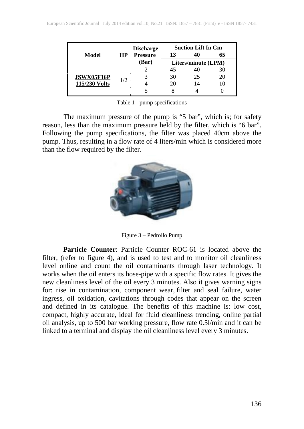|                             |           | <b>Discharge</b>             | <b>Suction Lift In Cm</b> |    |    |
|-----------------------------|-----------|------------------------------|---------------------------|----|----|
| Model                       | <b>HP</b> | <b>Pressure</b>              | 13                        |    | 65 |
|                             |           | (Bar)<br>Liters/minute (LPM) |                           |    |    |
| JSWX05F16P<br>115/230 Volts | 1/2       |                              | 45                        |    | 30 |
|                             |           |                              | 30                        | 25 | 20 |
|                             |           |                              | 20                        |    | 10 |
|                             |           |                              |                           |    |    |

Table 1 - pump specifications

The maximum pressure of the pump is "5 bar", which is; for safety reason, less than the maximum pressure held by the filter, which is "6 bar". Following the pump specifications, the filter was placed 40cm above the pump. Thus, resulting in a flow rate of 4 liters/min which is considered more than the flow required by the filter.



Figure 3 – Pedrollo Pump

**Particle Counter:** Particle Counter ROC-61 is located above the filter, (refer to figure 4), and is used to test and to monitor oil cleanliness level online and count the oil contaminants through laser technology. It works when the oil enters its hose-pipe with a specific flow rates. It gives the new cleanliness level of the oil every 3 minutes. Also it gives warning signs for: rise in contamination, component wear, filter and seal failure, water ingress, oil oxidation, cavitations through codes that appear on the screen and defined in its catalogue. The benefits of this machine is: low cost, compact, highly accurate, ideal for fluid cleanliness trending, online partial oil analysis, up to 500 bar working pressure, flow rate 0.5l/min and it can be linked to a terminal and display the oil cleanliness level every 3 minutes.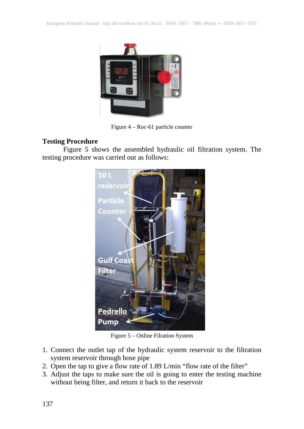

Figure 4 – Roc-61 particle counter

### **Testing Procedure**

Figure 5 shows the assembled hydraulic oil filtration system. The testing procedure was carried out as follows:



Figure 5 – Online Filration System

- 1. Connect the outlet tap of the hydraulic system reservoir to the filtration system reservoir through hose pipe
- 2. Open the tap to give a flow rate of 1.89 L/min "flow rate of the filter"
- 3. Adjust the taps to make sure the oil is going to enter the testing machine without being filter, and return it back to the reservoir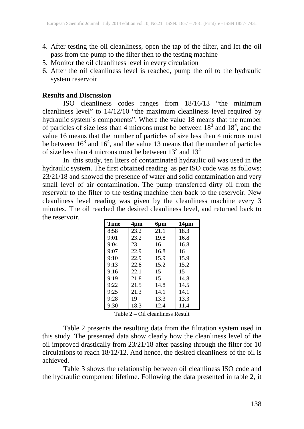- 4. After testing the oil cleanliness, open the tap of the filter, and let the oil pass from the pump to the filter then to the testing machine
- 5. Monitor the oil cleanliness level in every circulation
- 6. After the oil cleanliness level is reached, pump the oil to the hydraulic system reservoir

#### **Results and Discussion**

ISO cleanliness codes ranges from 18/16/13 "the minimum cleanliness level" to 14/12/10 "the maximum cleanliness level required by hydraulic system`s components". Where the value 18 means that the number of particles of size less than 4 microns must be between  $18<sup>3</sup>$  and  $18<sup>4</sup>$ , and the value 16 means that the number of particles of size less than 4 microns must be between  $16<sup>3</sup>$  and  $16<sup>4</sup>$ , and the value 13 means that the number of particles of size less than 4 microns must be between  $13<sup>3</sup>$  and  $13<sup>4</sup>$ 

In this study, ten liters of contaminated hydraulic oil was used in the hydraulic system. The first obtained reading as per ISO code was as follows: 23/21/18 and showed the presence of water and solid contamination and very small level of air contamination. The pump transferred dirty oil from the reservoir to the filter to the testing machine then back to the reservoir. New cleanliness level reading was given by the cleanliness machine every 3 minutes. The oil reached the desired cleanliness level, and returned back to the reservoir.

| <b>Time</b> | 4µm  | 6µm  | $14 \mu m$ |
|-------------|------|------|------------|
| 8:58        | 23.2 | 21.1 | 18.3       |
| 9:01        | 23.2 | 19.8 | 16.8       |
| 9:04        | 23   | 16   | 16.8       |
| 9:07        | 22.9 | 16.8 | 16         |
| 9:10        | 22.9 | 15.9 | 15.9       |
| 9:13        | 22.8 | 15.2 | 15.2       |
| 9:16        | 22.1 | 15   | 15         |
| 9:19        | 21.8 | 15   | 14.8       |
| 9:22        | 21.5 | 14.8 | 14.5       |
| 9:25        | 21.3 | 14.1 | 14.1       |
| 9:28        | 19   | 13.3 | 13.3       |
| 9:30        | 18.3 | 12.4 | 11.4       |

Table 2 – Oil cleanliness Result

Table 2 presents the resulting data from the filtration system used in this study. The presented data show clearly how the cleanliness level of the oil improved drastically from 23/21/18 after passing through the filter for 10 circulations to reach 18/12/12. And hence, the desired cleanliness of the oil is achieved.

Table 3 shows the relationship between oil cleanliness ISO code and the hydraulic component lifetime. Following the data presented in table 2, it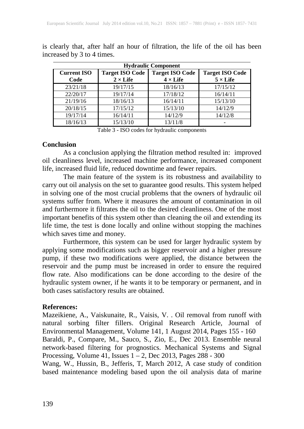| <b>Hydraulic Component</b> |                                           |                                           |                                           |  |  |  |  |
|----------------------------|-------------------------------------------|-------------------------------------------|-------------------------------------------|--|--|--|--|
| <b>Current ISO</b><br>Code | <b>Target ISO Code</b><br>$2 \times$ Life | <b>Target ISO Code</b><br>$4 \times$ Life | <b>Target ISO Code</b><br>$5 \times$ Life |  |  |  |  |
| 23/21/18                   | 19/17/15                                  | 18/16/13                                  | 17/15/12                                  |  |  |  |  |
| 22/20/17                   | 19/17/14                                  | 17/18/12                                  | 16/14/11                                  |  |  |  |  |
| 21/19/16                   | 18/16/13                                  | 16/14/11                                  | 15/13/10                                  |  |  |  |  |
| 20/18/15                   | 17/15/12                                  | 15/13/10                                  | 14/12/9                                   |  |  |  |  |
| 19/17/14                   | 16/14/11                                  | 14/12/9                                   | 14/12/8                                   |  |  |  |  |
| 18/16/13                   | 15/13/10                                  | 13/11/8                                   |                                           |  |  |  |  |

is clearly that, after half an hour of filtration, the life of the oil has been increased by 3 to 4 times.

Table 3 - ISO codes for hydraulic components

#### **Conclusion**

As a conclusion applying the filtration method resulted in: improved oil cleanliness level, increased machine performance, increased component life, increased fluid life, reduced downtime and fewer repairs.

The main feature of the system is its robustness and availability to carry out oil analysis on the set to guarantee good results. This system helped in solving one of the most crucial problems that the owners of hydraulic oil systems suffer from. Where it measures the amount of contamination in oil and furthermore it filtrates the oil to the desired cleanliness. One of the most important benefits of this system other than cleaning the oil and extending its life time, the test is done locally and online without stopping the machines which saves time and money.

Furthermore, this system can be used for larger hydraulic system by applying some modifications such as bigger reservoir and a higher pressure pump, if these two modifications were applied, the distance between the reservoir and the pump must be increased in order to ensure the required flow rate. Also modifications can be done according to the desire of the hydraulic system owner, if he wants it to be temporary or permanent, and in both cases satisfactory results are obtained.

#### **References:**

Mazeikiene, A., Vaiskunaite, R., Vaisis, V. . Oil removal from runoff with natural sorbing filter fillers. Original Research Article, Journal of Environmental Management, Volume 141, 1 August 2014, Pages 155 - 160 Baraldi, P., Compare, M., Sauco, S., Zio, E., Dec 2013. Ensemble neural network-based filtering for prognostics. Mechanical Systems and Signal Processing, Volume 41, Issues 1 – 2, Dec 2013, Pages 288 - 300

Wang, W., Hussin, B., Jefferis, T, March 2012, A case study of condition based maintenance modeling based upon the oil analysis data of marine